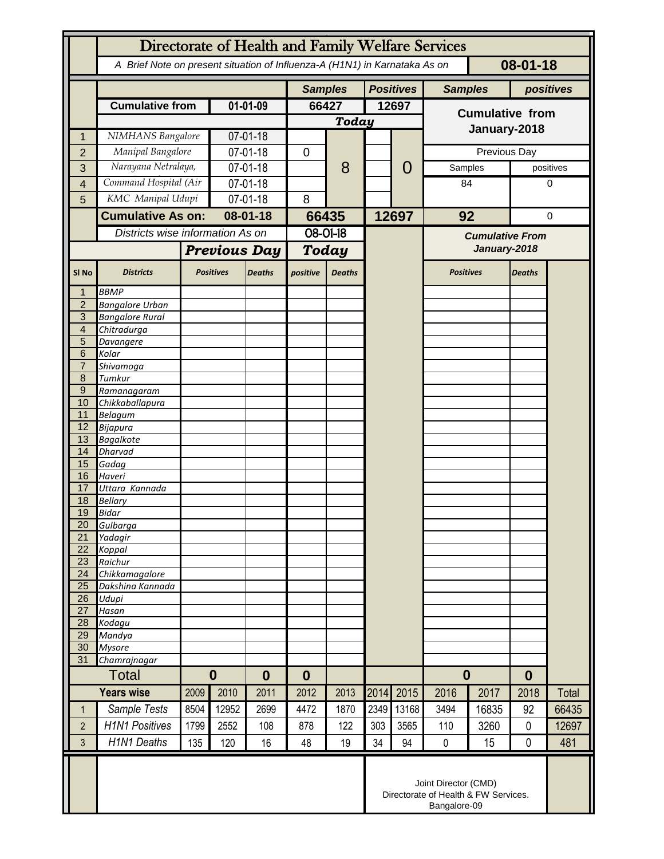|                       | Directorate of Health and Family Welfare Services                                      |                  |                      |                |                  |               |                  |                                                                              |                                        |       |               |              |  |
|-----------------------|----------------------------------------------------------------------------------------|------------------|----------------------|----------------|------------------|---------------|------------------|------------------------------------------------------------------------------|----------------------------------------|-------|---------------|--------------|--|
|                       | 08-01-18<br>A Brief Note on present situation of Influenza-A (H1N1) in Karnataka As on |                  |                      |                |                  |               |                  |                                                                              |                                        |       |               |              |  |
|                       |                                                                                        |                  |                      | <b>Samples</b> |                  |               | <b>Positives</b> | <b>Samples</b>                                                               |                                        |       | positives     |              |  |
|                       | <b>Cumulative from</b>                                                                 |                  | 01-01-09             |                | 66427            |               | 12697            |                                                                              | <b>Cumulative from</b>                 |       |               |              |  |
|                       |                                                                                        |                  |                      |                |                  | <b>Today</b>  |                  |                                                                              | January-2018                           |       |               |              |  |
| 1                     | NIMHANS Bangalore                                                                      |                  | 07-01-18             |                |                  | 8             |                  | 0                                                                            |                                        |       |               |              |  |
| $\overline{2}$        | Manipal Bangalore                                                                      |                  | 07-01-18             |                | 0                |               |                  |                                                                              |                                        |       | Previous Day  |              |  |
| 3                     | Narayana Netralaya,                                                                    |                  | 07-01-18             |                |                  |               |                  |                                                                              | Samples                                |       |               | positives    |  |
| $\overline{4}$        | Command Hospital (Air                                                                  |                  | 07-01-18             |                |                  |               |                  |                                                                              | 84                                     |       |               | 0            |  |
| 5                     | KMC Manipal Udupi                                                                      |                  | 07-01-18             |                | 8                |               |                  |                                                                              |                                        |       |               |              |  |
|                       | <b>Cumulative As on:</b><br>Districts wise information As on                           |                  | $08 - 01 - 18$       |                | 66435            |               | 12697            |                                                                              | 92                                     |       |               | 0            |  |
|                       |                                                                                        |                  |                      |                | $08 - 01 - 18$   |               |                  |                                                                              | <b>Cumulative From</b><br>January-2018 |       |               |              |  |
|                       |                                                                                        |                  | <b>Previous Day</b>  |                | <b>Today</b>     |               |                  |                                                                              |                                        |       |               |              |  |
| SI <sub>No</sub>      | <b>Districts</b>                                                                       | <b>Positives</b> |                      | <b>Deaths</b>  | positive         | <b>Deaths</b> |                  |                                                                              | <b>Positives</b>                       |       | <b>Deaths</b> |              |  |
| $\mathbf 1$           | <b>BBMP</b>                                                                            |                  |                      |                |                  |               |                  |                                                                              |                                        |       |               |              |  |
| $\overline{2}$<br>3   | <b>Bangalore Urban</b><br><b>Bangalore Rural</b>                                       |                  |                      |                |                  |               |                  |                                                                              |                                        |       |               |              |  |
| 4                     | Chitradurga                                                                            |                  |                      |                |                  |               |                  |                                                                              |                                        |       |               |              |  |
| 5                     | Davangere                                                                              |                  |                      |                |                  |               |                  |                                                                              |                                        |       |               |              |  |
| 6<br>$\overline{7}$   | Kolar                                                                                  |                  |                      |                |                  |               |                  |                                                                              |                                        |       |               |              |  |
| 8                     | Shivamoga<br>Tumkur                                                                    |                  |                      |                |                  |               |                  |                                                                              |                                        |       |               |              |  |
| $\overline{9}$        | Ramanagaram                                                                            |                  |                      |                |                  |               |                  |                                                                              |                                        |       |               |              |  |
| 10                    | Chikkaballapura                                                                        |                  |                      |                |                  |               |                  |                                                                              |                                        |       |               |              |  |
| 11<br>12              | <b>Belagum</b>                                                                         |                  |                      |                |                  |               |                  |                                                                              |                                        |       |               |              |  |
| 13                    | Bijapura<br><b>Bagalkote</b>                                                           |                  |                      |                |                  |               |                  |                                                                              |                                        |       |               |              |  |
| 14                    | <b>Dharvad</b>                                                                         |                  |                      |                |                  |               |                  |                                                                              |                                        |       |               |              |  |
| 15                    | Gadag                                                                                  |                  |                      |                |                  |               |                  |                                                                              |                                        |       |               |              |  |
| 16<br>17              | Haveri<br>Uttara Kannada                                                               |                  |                      |                |                  |               |                  |                                                                              |                                        |       |               |              |  |
| 18                    | <b>Bellary</b>                                                                         |                  |                      |                |                  |               |                  |                                                                              |                                        |       |               |              |  |
| 19                    | <b>Bidar</b>                                                                           |                  |                      |                |                  |               |                  |                                                                              |                                        |       |               |              |  |
| 20                    | Gulbarga                                                                               |                  |                      |                |                  |               |                  |                                                                              |                                        |       |               |              |  |
| 21<br>22              | Yadagir<br>Koppal                                                                      |                  |                      |                |                  |               |                  |                                                                              |                                        |       |               |              |  |
| 23                    | Raichur                                                                                |                  |                      |                |                  |               |                  |                                                                              |                                        |       |               |              |  |
| 24                    | Chikkamagalore                                                                         |                  |                      |                |                  |               |                  |                                                                              |                                        |       |               |              |  |
| 25                    | Dakshina Kannada                                                                       |                  |                      |                |                  |               |                  |                                                                              |                                        |       |               |              |  |
| $\overline{26}$<br>27 | Udupi<br>Hasan                                                                         |                  |                      |                |                  |               |                  |                                                                              |                                        |       |               |              |  |
| 28                    | Kodagu                                                                                 |                  |                      |                |                  |               |                  |                                                                              |                                        |       |               |              |  |
| 29                    | Mandya                                                                                 |                  |                      |                |                  |               |                  |                                                                              |                                        |       |               |              |  |
| 30                    | <b>Mysore</b>                                                                          |                  |                      |                |                  |               |                  |                                                                              |                                        |       |               |              |  |
| 31                    | Chamrajnagar<br>Total                                                                  |                  | $\bf{0}$<br>$\bf{0}$ |                | $\boldsymbol{0}$ |               |                  |                                                                              | $\boldsymbol{0}$                       |       | $\bf{0}$      |              |  |
| <b>Years wise</b>     |                                                                                        | 2010<br>2009     |                      | 2011           | 2012<br>2013     |               | 2014             | 2015                                                                         | 2017<br>2016                           |       | 2018          | <b>Total</b> |  |
| $\mathbf 1$           | Sample Tests                                                                           | 8504             | 12952                | 2699           | 4472             | 1870          | 2349             | 13168                                                                        | 3494                                   | 16835 | 92            | 66435        |  |
| $\overline{2}$        | <b>H1N1 Positives</b>                                                                  | 1799             | 2552                 | 108            | 878              | 122           | 303              | 3565                                                                         | 110                                    | 3260  | $\mathbf{0}$  | 12697        |  |
| 3                     | H1N1 Deaths                                                                            | 135              | 120                  | 16             | 48               | 19            | 34               | 94                                                                           | $\mathbf 0$                            | 15    | 0             | 481          |  |
|                       |                                                                                        |                  |                      |                |                  |               |                  |                                                                              |                                        |       |               |              |  |
|                       |                                                                                        |                  |                      |                |                  |               |                  | Joint Director (CMD)<br>Directorate of Health & FW Services.<br>Bangalore-09 |                                        |       |               |              |  |